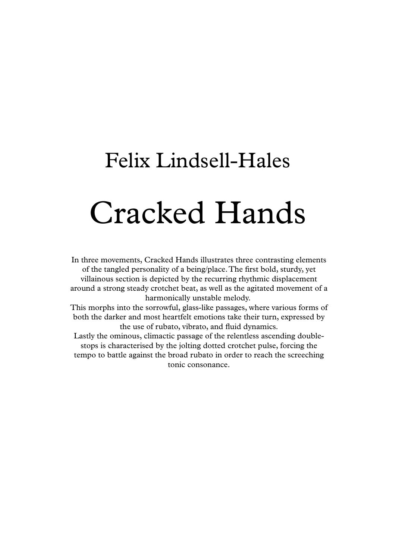## Felix Lindsell-Hales Cracked Hands

In three movements, Cracked Hands illustrates three contrasting elements of the tangled personality of a being/place.The first bold, sturdy, yet villainous section is depicted by the recurring rhythmic displacement around a strong steady crotchet beat, as well as the agitated movement of a harmonically unstable melody.

This morphs into the sorrowful, glass-like passages, where various forms of both the darker and most heartfelt emotions take their turn, expressed by the use of rubato, vibrato, and fluid dynamics.

Lastly the ominous, climactic passage of the relentless ascending double stops is characterised by the jolting dotted crotchet pulse, forcing the tempo to battle against the broad rubato in order to reach the screeching tonic consonance.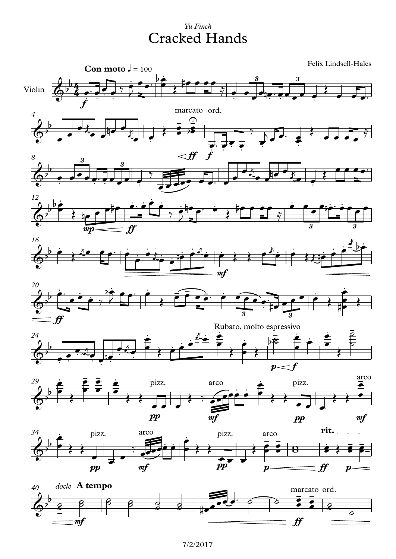## Yu Finch **Cracked Hands**

Felix Lindsell-Hales